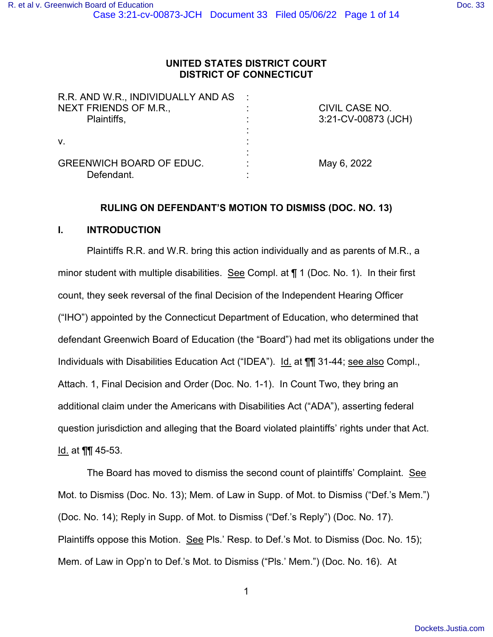# **UNITED STATES DISTRICT COURT DISTRICT OF CONNECTICUT**

| R.R. AND W.R., INDIVIDUALLY AND AS :<br>NEXT FRIENDS OF M.R.,<br>Plaintiffs, | CIVIL CASE NO.<br>3:21-CV-00873 (JCH) |
|------------------------------------------------------------------------------|---------------------------------------|
| V.                                                                           |                                       |
| <b>GREENWICH BOARD OF EDUC.</b><br>Defendant.                                | May 6, 2022                           |

# **RULING ON DEFENDANT'S MOTION TO DISMISS (DOC. NO. 13)**

## **I. INTRODUCTION**

Plaintiffs R.R. and W.R. bring this action individually and as parents of M.R., a minor student with multiple disabilities. See Compl. at ¶ 1 (Doc. No. 1). In their first count, they seek reversal of the final Decision of the Independent Hearing Officer ("IHO") appointed by the Connecticut Department of Education, who determined that defendant Greenwich Board of Education (the "Board") had met its obligations under the Individuals with Disabilities Education Act ("IDEA"). Id. at ¶¶ 31-44; see also Compl., Attach. 1, Final Decision and Order (Doc. No. 1-1). In Count Two, they bring an additional claim under the Americans with Disabilities Act ("ADA"), asserting federal question jurisdiction and alleging that the Board violated plaintiffs' rights under that Act. Id. at **¶** 45-53.

The Board has moved to dismiss the second count of plaintiffs' Complaint. See Mot. to Dismiss (Doc. No. 13); Mem. of Law in Supp. of Mot. to Dismiss ("Def.'s Mem.") (Doc. No. 14); Reply in Supp. of Mot. to Dismiss ("Def.'s Reply") (Doc. No. 17). Plaintiffs oppose this Motion. See Pls.' Resp. to Def.'s Mot. to Dismiss (Doc. No. 15); Mem. of Law in Opp'n to Def.'s Mot. to Dismiss ("Pls.' Mem.") (Doc. No. 16). At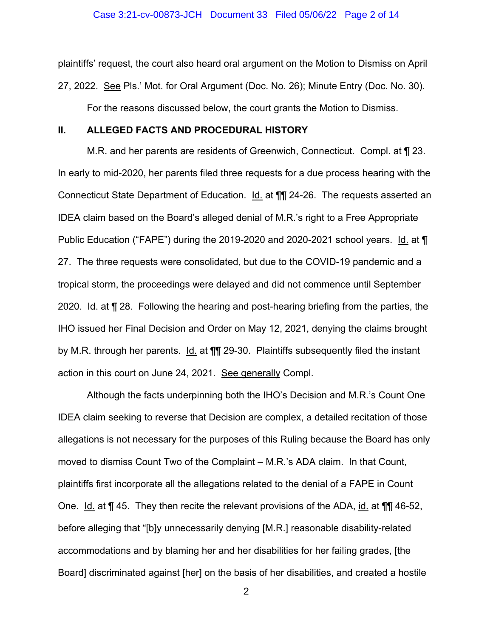plaintiffs' request, the court also heard oral argument on the Motion to Dismiss on April 27, 2022. See Pls.' Mot. for Oral Argument (Doc. No. 26); Minute Entry (Doc. No. 30). For the reasons discussed below, the court grants the Motion to Dismiss.

#### **II. ALLEGED FACTS AND PROCEDURAL HISTORY**

M.R. and her parents are residents of Greenwich, Connecticut. Compl. at ¶ 23. In early to mid-2020, her parents filed three requests for a due process hearing with the Connecticut State Department of Education. Id. at ¶¶ 24-26. The requests asserted an IDEA claim based on the Board's alleged denial of M.R.'s right to a Free Appropriate Public Education ("FAPE") during the 2019-2020 and 2020-2021 school years. Id. at ¶ 27. The three requests were consolidated, but due to the COVID-19 pandemic and a tropical storm, the proceedings were delayed and did not commence until September 2020. Id. at ¶ 28. Following the hearing and post-hearing briefing from the parties, the IHO issued her Final Decision and Order on May 12, 2021, denying the claims brought by M.R. through her parents.  $Id.$  at  $\P\P$  29-30. Plaintiffs subsequently filed the instant action in this court on June 24, 2021. See generally Compl.

Although the facts underpinning both the IHO's Decision and M.R.'s Count One IDEA claim seeking to reverse that Decision are complex, a detailed recitation of those allegations is not necessary for the purposes of this Ruling because the Board has only moved to dismiss Count Two of the Complaint – M.R.'s ADA claim. In that Count, plaintiffs first incorporate all the allegations related to the denial of a FAPE in Count One. Id. at ¶ 45. They then recite the relevant provisions of the ADA, id. at ¶¶ 46-52, before alleging that "[b]y unnecessarily denying [M.R.] reasonable disability-related accommodations and by blaming her and her disabilities for her failing grades, [the Board] discriminated against [her] on the basis of her disabilities, and created a hostile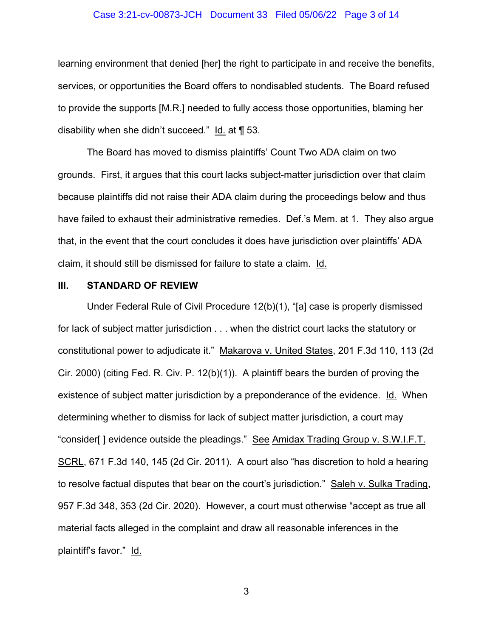## Case 3:21-cv-00873-JCH Document 33 Filed 05/06/22 Page 3 of 14

learning environment that denied [her] the right to participate in and receive the benefits, services, or opportunities the Board offers to nondisabled students. The Board refused to provide the supports [M.R.] needed to fully access those opportunities, blaming her disability when she didn't succeed." Id. at ¶ 53.

The Board has moved to dismiss plaintiffs' Count Two ADA claim on two grounds. First, it argues that this court lacks subject-matter jurisdiction over that claim because plaintiffs did not raise their ADA claim during the proceedings below and thus have failed to exhaust their administrative remedies. Def.'s Mem. at 1. They also argue that, in the event that the court concludes it does have jurisdiction over plaintiffs' ADA claim, it should still be dismissed for failure to state a claim. Id.

## **III. STANDARD OF REVIEW**

Under Federal Rule of Civil Procedure 12(b)(1), "[a] case is properly dismissed for lack of subject matter jurisdiction . . . when the district court lacks the statutory or constitutional power to adjudicate it." Makarova v. United States, 201 F.3d 110, 113 (2d Cir. 2000) (citing Fed. R. Civ. P. 12(b)(1)). A plaintiff bears the burden of proving the existence of subject matter jurisdiction by a preponderance of the evidence. Id. When determining whether to dismiss for lack of subject matter jurisdiction, a court may "consider[] evidence outside the pleadings." See Amidax Trading Group v. S.W.I.F.T. SCRL, 671 F.3d 140, 145 (2d Cir. 2011). A court also "has discretion to hold a hearing to resolve factual disputes that bear on the court's jurisdiction." Saleh v. Sulka Trading, 957 F.3d 348, 353 (2d Cir. 2020). However, a court must otherwise "accept as true all material facts alleged in the complaint and draw all reasonable inferences in the plaintiff's favor." Id.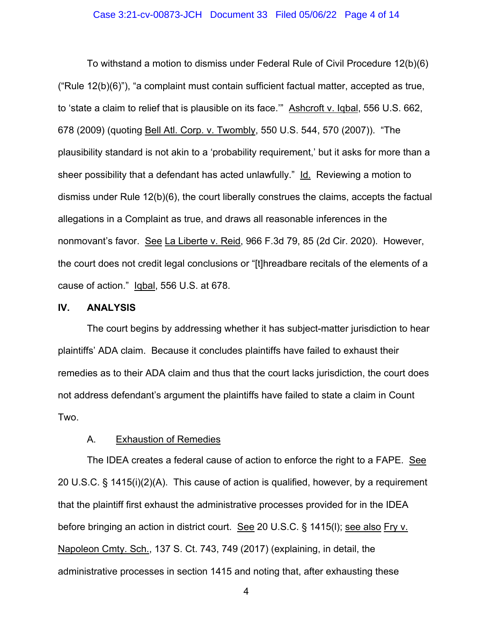## Case 3:21-cv-00873-JCH Document 33 Filed 05/06/22 Page 4 of 14

To withstand a motion to dismiss under Federal Rule of Civil Procedure 12(b)(6) ("Rule 12(b)(6)"), "a complaint must contain sufficient factual matter, accepted as true, to 'state a claim to relief that is plausible on its face.'" Ashcroft v. Iqbal, 556 U.S. 662, 678 (2009) (quoting Bell Atl. Corp. v. Twombly, 550 U.S. 544, 570 (2007)). "The plausibility standard is not akin to a 'probability requirement,' but it asks for more than a sheer possibility that a defendant has acted unlawfully." Id. Reviewing a motion to dismiss under Rule 12(b)(6), the court liberally construes the claims, accepts the factual allegations in a Complaint as true, and draws all reasonable inferences in the nonmovant's favor. See La Liberte v. Reid, 966 F.3d 79, 85 (2d Cir. 2020). However, the court does not credit legal conclusions or "[t]hreadbare recitals of the elements of a cause of action." Iqbal, 556 U.S. at 678.

## **IV. ANALYSIS**

The court begins by addressing whether it has subject-matter jurisdiction to hear plaintiffs' ADA claim. Because it concludes plaintiffs have failed to exhaust their remedies as to their ADA claim and thus that the court lacks jurisdiction, the court does not address defendant's argument the plaintiffs have failed to state a claim in Count Two.

# A. Exhaustion of Remedies

The IDEA creates a federal cause of action to enforce the right to a FAPE. See 20 U.S.C. § 1415(i)(2)(A). This cause of action is qualified, however, by a requirement that the plaintiff first exhaust the administrative processes provided for in the IDEA before bringing an action in district court. See 20 U.S.C. § 1415(l); see also Fry v. Napoleon Cmty. Sch., 137 S. Ct. 743, 749 (2017) (explaining, in detail, the administrative processes in section 1415 and noting that, after exhausting these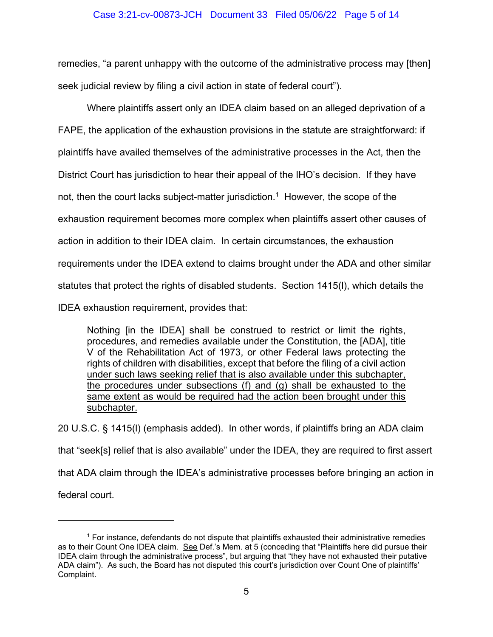## Case 3:21-cv-00873-JCH Document 33 Filed 05/06/22 Page 5 of 14

remedies, "a parent unhappy with the outcome of the administrative process may [then] seek judicial review by filing a civil action in state of federal court").

Where plaintiffs assert only an IDEA claim based on an alleged deprivation of a FAPE, the application of the exhaustion provisions in the statute are straightforward: if plaintiffs have availed themselves of the administrative processes in the Act, then the District Court has jurisdiction to hear their appeal of the IHO's decision. If they have not, then the court lacks subject-matter jurisdiction.<sup>1</sup> However, the scope of the exhaustion requirement becomes more complex when plaintiffs assert other causes of action in addition to their IDEA claim. In certain circumstances, the exhaustion requirements under the IDEA extend to claims brought under the ADA and other similar statutes that protect the rights of disabled students. Section 1415(l), which details the IDEA exhaustion requirement, provides that:

Nothing [in the IDEA] shall be construed to restrict or limit the rights, procedures, and remedies available under the Constitution, the [ADA], title V of the Rehabilitation Act of 1973, or other Federal laws protecting the rights of children with disabilities, except that before the filing of a civil action under such laws seeking relief that is also available under this subchapter, the procedures under subsections (f) and (g) shall be exhausted to the same extent as would be required had the action been brought under this subchapter.

20 U.S.C. § 1415(l) (emphasis added). In other words, if plaintiffs bring an ADA claim that "seek[s] relief that is also available" under the IDEA, they are required to first assert that ADA claim through the IDEA's administrative processes before bringing an action in federal court.

<sup>&</sup>lt;sup>1</sup> For instance, defendants do not dispute that plaintiffs exhausted their administrative remedies as to their Count One IDEA claim. See Def.'s Mem. at 5 (conceding that "Plaintiffs here did pursue their IDEA claim through the administrative process", but arguing that "they have not exhausted their putative ADA claim"). As such, the Board has not disputed this court's jurisdiction over Count One of plaintiffs' Complaint.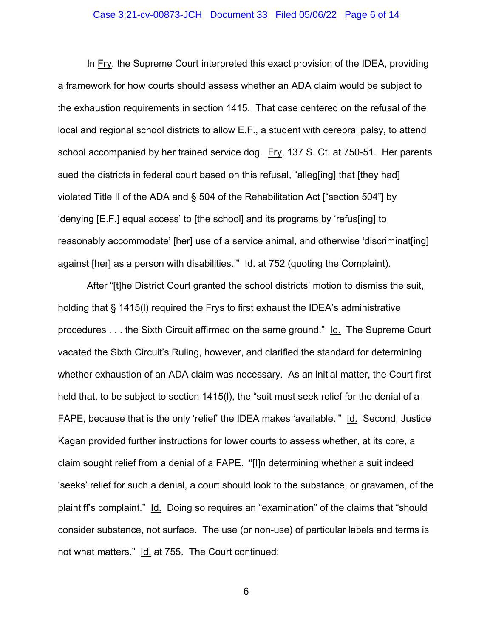## Case 3:21-cv-00873-JCH Document 33 Filed 05/06/22 Page 6 of 14

In Fry, the Supreme Court interpreted this exact provision of the IDEA, providing a framework for how courts should assess whether an ADA claim would be subject to the exhaustion requirements in section 1415. That case centered on the refusal of the local and regional school districts to allow E.F., a student with cerebral palsy, to attend school accompanied by her trained service dog. Fry, 137 S. Ct. at 750-51. Her parents sued the districts in federal court based on this refusal, "alleg[ing] that [they had] violated Title II of the ADA and § 504 of the Rehabilitation Act ["section 504"] by 'denying [E.F.] equal access' to [the school] and its programs by 'refus[ing] to reasonably accommodate' [her] use of a service animal, and otherwise 'discriminat[ing] against [her] as a person with disabilities.'" Id. at 752 (quoting the Complaint).

After "[t]he District Court granted the school districts' motion to dismiss the suit, holding that § 1415(l) required the Frys to first exhaust the IDEA's administrative procedures . . . the Sixth Circuit affirmed on the same ground." Id. The Supreme Court vacated the Sixth Circuit's Ruling, however, and clarified the standard for determining whether exhaustion of an ADA claim was necessary. As an initial matter, the Court first held that, to be subject to section 1415(l), the "suit must seek relief for the denial of a FAPE, because that is the only 'relief' the IDEA makes 'available.'" Id. Second, Justice Kagan provided further instructions for lower courts to assess whether, at its core, a claim sought relief from a denial of a FAPE. "[I]n determining whether a suit indeed 'seeks' relief for such a denial, a court should look to the substance, or gravamen, of the plaintiff's complaint." Id. Doing so requires an "examination" of the claims that "should consider substance, not surface. The use (or non-use) of particular labels and terms is not what matters." Id. at 755. The Court continued: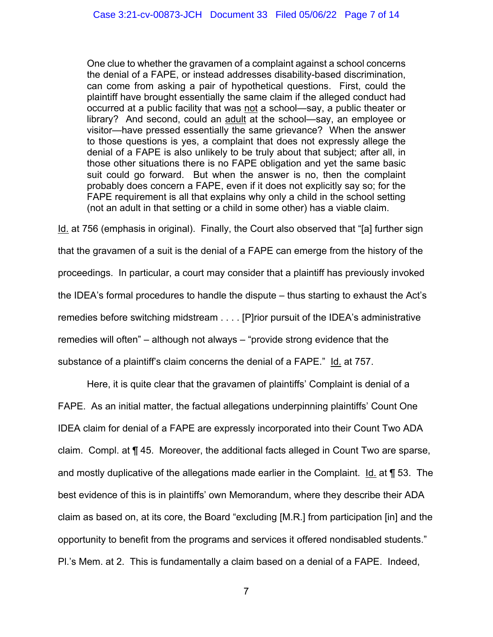One clue to whether the gravamen of a complaint against a school concerns the denial of a FAPE, or instead addresses disability-based discrimination, can come from asking a pair of hypothetical questions. First, could the plaintiff have brought essentially the same claim if the alleged conduct had occurred at a public facility that was not a school—say, a public theater or library? And second, could an adult at the school—say, an employee or visitor—have pressed essentially the same grievance? When the answer to those questions is yes, a complaint that does not expressly allege the denial of a FAPE is also unlikely to be truly about that subject; after all, in those other situations there is no FAPE obligation and yet the same basic suit could go forward. But when the answer is no, then the complaint probably does concern a FAPE, even if it does not explicitly say so; for the FAPE requirement is all that explains why only a child in the school setting (not an adult in that setting or a child in some other) has a viable claim.

<u>Id.</u> at 756 (emphasis in original). Finally, the Court also observed that "[a] further sign that the gravamen of a suit is the denial of a FAPE can emerge from the history of the proceedings. In particular, a court may consider that a plaintiff has previously invoked the IDEA's formal procedures to handle the dispute – thus starting to exhaust the Act's remedies before switching midstream . . . . [P]rior pursuit of the IDEA's administrative remedies will often" – although not always – "provide strong evidence that the substance of a plaintiff's claim concerns the denial of a FAPE." Id. at 757.

 Here, it is quite clear that the gravamen of plaintiffs' Complaint is denial of a FAPE. As an initial matter, the factual allegations underpinning plaintiffs' Count One IDEA claim for denial of a FAPE are expressly incorporated into their Count Two ADA claim. Compl. at ¶ 45. Moreover, the additional facts alleged in Count Two are sparse, and mostly duplicative of the allegations made earlier in the Complaint. Id. at ¶ 53. The best evidence of this is in plaintiffs' own Memorandum, where they describe their ADA claim as based on, at its core, the Board "excluding [M.R.] from participation [in] and the opportunity to benefit from the programs and services it offered nondisabled students." Pl.'s Mem. at 2. This is fundamentally a claim based on a denial of a FAPE. Indeed,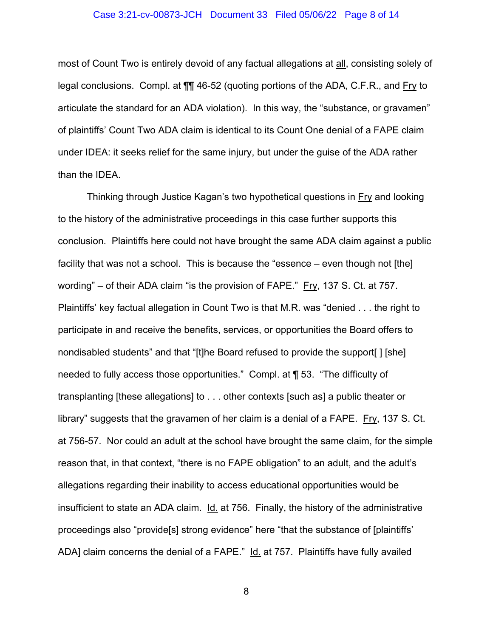## Case 3:21-cv-00873-JCH Document 33 Filed 05/06/22 Page 8 of 14

most of Count Two is entirely devoid of any factual allegations at all, consisting solely of legal conclusions. Compl. at ¶¶ 46-52 (quoting portions of the ADA, C.F.R., and Fry to articulate the standard for an ADA violation). In this way, the "substance, or gravamen" of plaintiffs' Count Two ADA claim is identical to its Count One denial of a FAPE claim under IDEA: it seeks relief for the same injury, but under the guise of the ADA rather than the IDEA.

 Thinking through Justice Kagan's two hypothetical questions in Fry and looking to the history of the administrative proceedings in this case further supports this conclusion. Plaintiffs here could not have brought the same ADA claim against a public facility that was not a school. This is because the "essence – even though not [the] wording" – of their ADA claim "is the provision of FAPE." Fry, 137 S. Ct. at 757. Plaintiffs' key factual allegation in Count Two is that M.R. was "denied . . . the right to participate in and receive the benefits, services, or opportunities the Board offers to nondisabled students" and that "[t]he Board refused to provide the support[ ] [she] needed to fully access those opportunities." Compl. at ¶ 53. "The difficulty of transplanting [these allegations] to . . . other contexts [such as] a public theater or library" suggests that the gravamen of her claim is a denial of a FAPE. Fry, 137 S. Ct. at 756-57. Nor could an adult at the school have brought the same claim, for the simple reason that, in that context, "there is no FAPE obligation" to an adult, and the adult's allegations regarding their inability to access educational opportunities would be insufficient to state an ADA claim.  $Id$  at 756. Finally, the history of the administrative proceedings also "provide[s] strong evidence" here "that the substance of [plaintiffs' ADA] claim concerns the denial of a FAPE." Id. at 757. Plaintiffs have fully availed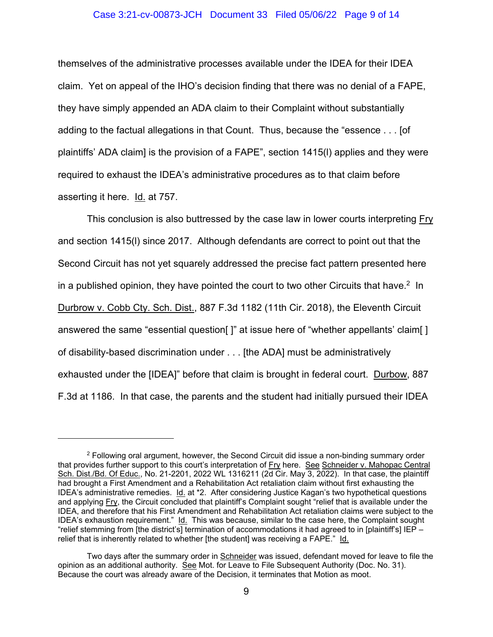## Case 3:21-cv-00873-JCH Document 33 Filed 05/06/22 Page 9 of 14

themselves of the administrative processes available under the IDEA for their IDEA claim. Yet on appeal of the IHO's decision finding that there was no denial of a FAPE, they have simply appended an ADA claim to their Complaint without substantially adding to the factual allegations in that Count. Thus, because the "essence . . . [of plaintiffs' ADA claim] is the provision of a FAPE", section 1415(l) applies and they were required to exhaust the IDEA's administrative procedures as to that claim before asserting it here. Id. at 757.

 This conclusion is also buttressed by the case law in lower courts interpreting Fry and section 1415(l) since 2017. Although defendants are correct to point out that the Second Circuit has not yet squarely addressed the precise fact pattern presented here in a published opinion, they have pointed the court to two other Circuits that have.<sup>2</sup> In Durbrow v. Cobb Cty. Sch. Dist., 887 F.3d 1182 (11th Cir. 2018), the Eleventh Circuit answered the same "essential question[]" at issue here of "whether appellants' claim[] of disability-based discrimination under . . . [the ADA] must be administratively exhausted under the [IDEA]" before that claim is brought in federal court. Durbow, 887 F.3d at 1186. In that case, the parents and the student had initially pursued their IDEA

 $2$  Following oral argument, however, the Second Circuit did issue a non-binding summary order that provides further support to this court's interpretation of Fry here. See Schneider v. Mahopac Central Sch. Dist./Bd. Of Educ., No. 21-2201, 2022 WL 1316211 (2d Cir. May 3, 2022). In that case, the plaintiff had brought a First Amendment and a Rehabilitation Act retaliation claim without first exhausting the IDEA's administrative remedies. Id. at \*2. After considering Justice Kagan's two hypothetical questions and applying Fry, the Circuit concluded that plaintiff's Complaint sought "relief that is available under the IDEA, and therefore that his First Amendment and Rehabilitation Act retaliation claims were subject to the IDEA's exhaustion requirement." Id. This was because, similar to the case here, the Complaint sought "relief stemming from [the district's] termination of accommodations it had agreed to in [plaintiff's] IEP – relief that is inherently related to whether [the student] was receiving a FAPE." Id.

Two days after the summary order in Schneider was issued, defendant moved for leave to file the opinion as an additional authority. See Mot. for Leave to File Subsequent Authority (Doc. No. 31). Because the court was already aware of the Decision, it terminates that Motion as moot.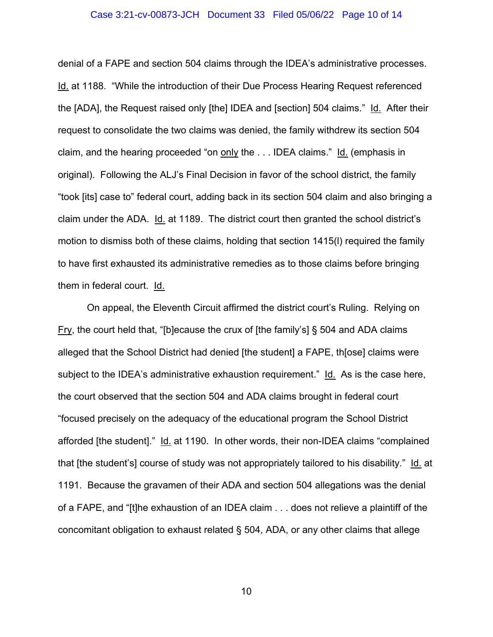## Case 3:21-cv-00873-JCH Document 33 Filed 05/06/22 Page 10 of 14

denial of a FAPE and section 504 claims through the IDEA's administrative processes. Id. at 1188. "While the introduction of their Due Process Hearing Request referenced the [ADA], the Request raised only [the] IDEA and [section] 504 claims." Id. After their request to consolidate the two claims was denied, the family withdrew its section 504 claim, and the hearing proceeded "on only the . . . IDEA claims." Id. (emphasis in original). Following the ALJ's Final Decision in favor of the school district, the family "took [its] case to" federal court, adding back in its section 504 claim and also bringing a claim under the ADA. Id. at 1189. The district court then granted the school district's motion to dismiss both of these claims, holding that section 1415(l) required the family to have first exhausted its administrative remedies as to those claims before bringing them in federal court. Id.

 On appeal, the Eleventh Circuit affirmed the district court's Ruling. Relying on Fry, the court held that, "[b]ecause the crux of [the family's] § 504 and ADA claims alleged that the School District had denied [the student] a FAPE, th[ose] claims were subject to the IDEA's administrative exhaustion requirement." Id. As is the case here, the court observed that the section 504 and ADA claims brought in federal court "focused precisely on the adequacy of the educational program the School District afforded [the student]." Id. at 1190. In other words, their non-IDEA claims "complained that [the student's] course of study was not appropriately tailored to his disability." Id. at 1191. Because the gravamen of their ADA and section 504 allegations was the denial of a FAPE, and "[t]he exhaustion of an IDEA claim . . . does not relieve a plaintiff of the concomitant obligation to exhaust related § 504, ADA, or any other claims that allege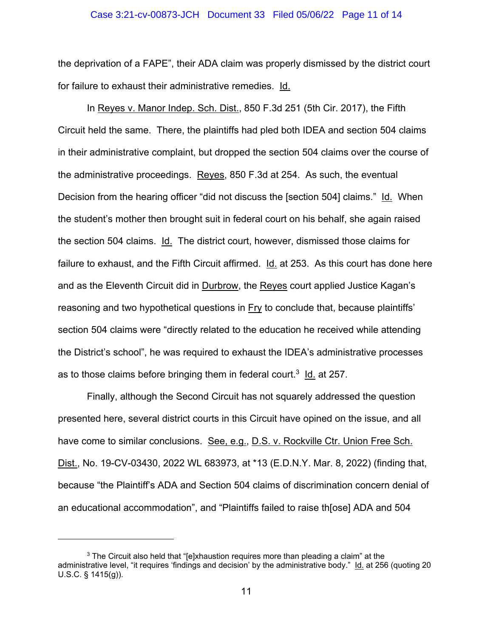#### Case 3:21-cv-00873-JCH Document 33 Filed 05/06/22 Page 11 of 14

the deprivation of a FAPE", their ADA claim was properly dismissed by the district court for failure to exhaust their administrative remedies. Id.

In Reyes v. Manor Indep. Sch. Dist., 850 F.3d 251 (5th Cir. 2017), the Fifth Circuit held the same. There, the plaintiffs had pled both IDEA and section 504 claims in their administrative complaint, but dropped the section 504 claims over the course of the administrative proceedings. Reyes, 850 F.3d at 254. As such, the eventual Decision from the hearing officer "did not discuss the [section 504] claims." Id. When the student's mother then brought suit in federal court on his behalf, she again raised the section 504 claims. Id. The district court, however, dismissed those claims for failure to exhaust, and the Fifth Circuit affirmed. Id. at 253. As this court has done here and as the Eleventh Circuit did in Durbrow, the Reyes court applied Justice Kagan's reasoning and two hypothetical questions in Fry to conclude that, because plaintiffs' section 504 claims were "directly related to the education he received while attending the District's school", he was required to exhaust the IDEA's administrative processes as to those claims before bringing them in federal court.<sup>3</sup> I<u>d.</u> at 257.

 Finally, although the Second Circuit has not squarely addressed the question presented here, several district courts in this Circuit have opined on the issue, and all have come to similar conclusions. See, e.g., D.S. v. Rockville Ctr. Union Free Sch. Dist., No. 19-CV-03430, 2022 WL 683973, at \*13 (E.D.N.Y. Mar. 8, 2022) (finding that, because "the Plaintiff's ADA and Section 504 claims of discrimination concern denial of an educational accommodation", and "Plaintiffs failed to raise th[ose] ADA and 504

 $^3$  The Circuit also held that "[e]xhaustion requires more than pleading a claim" at the administrative level, "it requires 'findings and decision' by the administrative body." Id. at 256 (quoting 20 U.S.C. § 1415(g)).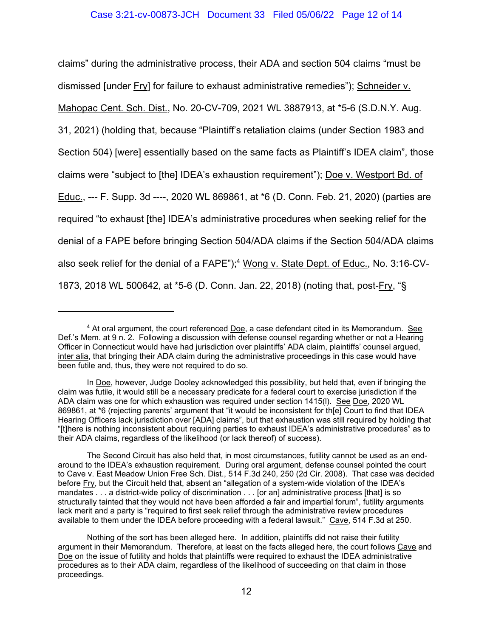claims" during the administrative process, their ADA and section 504 claims "must be dismissed [under Fry] for failure to exhaust administrative remedies"); Schneider v. Mahopac Cent. Sch. Dist., No. 20-CV-709, 2021 WL 3887913, at \*5-6 (S.D.N.Y. Aug. 31, 2021) (holding that, because "Plaintiff's retaliation claims (under Section 1983 and Section 504) [were] essentially based on the same facts as Plaintiff's IDEA claim", those claims were "subject to [the] IDEA's exhaustion requirement"); Doe v. Westport Bd. of Educ., --- F. Supp. 3d ----, 2020 WL 869861, at \*6 (D. Conn. Feb. 21, 2020) (parties are required "to exhaust [the] IDEA's administrative procedures when seeking relief for the denial of a FAPE before bringing Section 504/ADA claims if the Section 504/ADA claims also seek relief for the denial of a FAPE");<sup>4</sup> <u>Wong v. State Dept. of Educ.</u>, No. 3:16-CV-1873, 2018 WL 500642, at \*5-6 (D. Conn. Jan. 22, 2018) (noting that, post-Fry, "§

 $^4$  At oral argument, the court referenced <u>Doe</u>, a case defendant cited in its Memorandum.  $\,$  See Def.'s Mem. at 9 n. 2. Following a discussion with defense counsel regarding whether or not a Hearing Officer in Connecticut would have had jurisdiction over plaintiffs' ADA claim, plaintiffs' counsel argued, inter alia, that bringing their ADA claim during the administrative proceedings in this case would have been futile and, thus, they were not required to do so.

In Doe, however, Judge Dooley acknowledged this possibility, but held that, even if bringing the claim was futile, it would still be a necessary predicate for a federal court to exercise jurisdiction if the ADA claim was one for which exhaustion was required under section 1415(l). See Doe, 2020 WL 869861, at \*6 (rejecting parents' argument that "it would be inconsistent for th[e] Court to find that IDEA Hearing Officers lack jurisdiction over [ADA] claims", but that exhaustion was still required by holding that "[t]here is nothing inconsistent about requiring parties to exhaust IDEA's administrative procedures" as to their ADA claims, regardless of the likelihood (or lack thereof) of success).

The Second Circuit has also held that, in most circumstances, futility cannot be used as an endaround to the IDEA's exhaustion requirement. During oral argument, defense counsel pointed the court to Cave v. East Meadow Union Free Sch. Dist., 514 F.3d 240, 250 (2d Cir. 2008). That case was decided before Fry, but the Circuit held that, absent an "allegation of a system-wide violation of the IDEA's mandates . . . a district-wide policy of discrimination . . . [or an] administrative process [that] is so structurally tainted that they would not have been afforded a fair and impartial forum", futility arguments lack merit and a party is "required to first seek relief through the administrative review procedures available to them under the IDEA before proceeding with a federal lawsuit." Cave, 514 F.3d at 250.

Nothing of the sort has been alleged here. In addition, plaintiffs did not raise their futility argument in their Memorandum. Therefore, at least on the facts alleged here, the court follows Cave and Doe on the issue of futility and holds that plaintiffs were required to exhaust the IDEA administrative procedures as to their ADA claim, regardless of the likelihood of succeeding on that claim in those proceedings.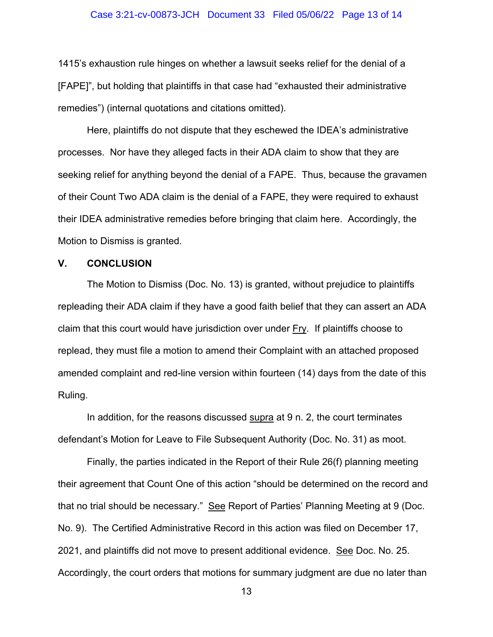## Case 3:21-cv-00873-JCH Document 33 Filed 05/06/22 Page 13 of 14

1415's exhaustion rule hinges on whether a lawsuit seeks relief for the denial of a [FAPE]", but holding that plaintiffs in that case had "exhausted their administrative remedies") (internal quotations and citations omitted).

 Here, plaintiffs do not dispute that they eschewed the IDEA's administrative processes. Nor have they alleged facts in their ADA claim to show that they are seeking relief for anything beyond the denial of a FAPE. Thus, because the gravamen of their Count Two ADA claim is the denial of a FAPE, they were required to exhaust their IDEA administrative remedies before bringing that claim here. Accordingly, the Motion to Dismiss is granted.

## **V. CONCLUSION**

The Motion to Dismiss (Doc. No. 13) is granted, without prejudice to plaintiffs repleading their ADA claim if they have a good faith belief that they can assert an ADA claim that this court would have jurisdiction over under Fry. If plaintiffs choose to replead, they must file a motion to amend their Complaint with an attached proposed amended complaint and red-line version within fourteen (14) days from the date of this Ruling.

In addition, for the reasons discussed supra at 9 n. 2, the court terminates defendant's Motion for Leave to File Subsequent Authority (Doc. No. 31) as moot.

Finally, the parties indicated in the Report of their Rule 26(f) planning meeting their agreement that Count One of this action "should be determined on the record and that no trial should be necessary." See Report of Parties' Planning Meeting at 9 (Doc. No. 9). The Certified Administrative Record in this action was filed on December 17, 2021, and plaintiffs did not move to present additional evidence. See Doc. No. 25. Accordingly, the court orders that motions for summary judgment are due no later than